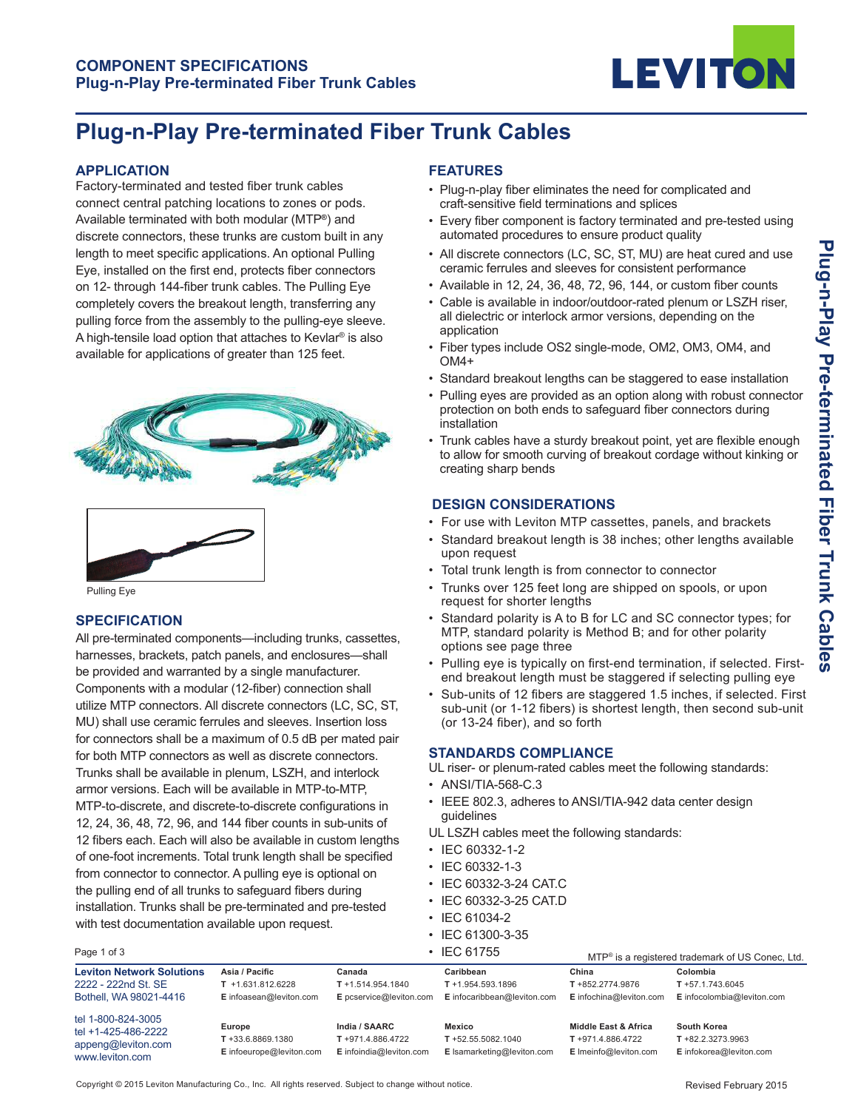

# **Plug-n-Play Pre-terminated Fiber Trunk Cables**

#### **APPLICATION**

Factory-terminated and tested fiber trunk cables connect central patching locations to zones or pods. Available terminated with both modular (MTP**®**) and discrete connectors, these trunks are custom built in any length to meet specific applications. An optional Pulling Eye, installed on the first end, protects fiber connectors on 12- through 144-fiber trunk cables. The Pulling Eye completely covers the breakout length, transferring any pulling force from the assembly to the pulling-eye sleeve. A high-tensile load option that attaches to Kevlar<sup>®</sup> is also available for applications of greater than 125 feet.



Pulling Eye

## **SPECIFICATION**

All pre-terminated components—including trunks, cassettes, harnesses, brackets, patch panels, and enclosures—shall be provided and warranted by a single manufacturer. Components with a modular (12-fiber) connection shall utilize MTP connectors. All discrete connectors (LC, SC, ST, MU) shall use ceramic ferrules and sleeves. Insertion loss for connectors shall be a maximum of 0.5 dB per mated pair for both MTP connectors as well as discrete connectors. Trunks shall be available in plenum, LSZH, and interlock armor versions. Each will be available in MTP-to-MTP, MTP-to-discrete, and discrete-to-discrete configurations in 12, 24, 36, 48, 72, 96, and 144 fiber counts in sub-units of 12 fibers each. Each will also be available in custom lengths of one-foot increments. Total trunk length shall be specified from connector to connector. A pulling eye is optional on the pulling end of all trunks to safeguard fibers during installation. Trunks shall be pre-terminated and pre-tested with test documentation available upon request.

## **FEATURES**

- Plug-n-play fiber eliminates the need for complicated and craft-sensitive field terminations and splices
- Every fiber component is factory terminated and pre-tested using automated procedures to ensure product quality
- All discrete connectors (LC, SC, ST, MU) are heat cured and use ceramic ferrules and sleeves for consistent performance
- $\bullet$  Available in 12, 24, 36, 48, 72, 96, 144, or custom fiber counts
- Cable is available in indoor/outdoor-rated plenum or LSZH riser, all dielectric or interlock armor versions, depending on the application
- Fiber types include OS2 single-mode, OM2, OM3, OM4, and OM4+
- Standard breakout lengths can be staggered to ease installation
- Pulling eyes are provided as an option along with robust connector protection on both ends to safeguard fiber connectors during installation
- Trunk cables have a sturdy breakout point, yet are flexible enough to allow for smooth curving of breakout cordage without kinking or creating sharp bends

## **DESIGN CONSIDERATIONS**

- For use with Leviton MTP cassettes, panels, and brackets
- Standard breakout length is 38 inches; other lengths available upon request
- Total trunk length is from connector to connector
- Trunks over 125 feet long are shipped on spools, or upon request for shorter lengths
- Standard polarity is A to B for LC and SC connector types; for MTP, standard polarity is Method B; and for other polarity options see page three
- Pulling eye is typically on first-end termination, if selected. Firstend breakout length must be staggered if selecting pulling eye
- Sub-units of 12 fibers are staggered 1.5 inches, if selected. First sub-unit (or 1-12 fibers) is shortest length, then second sub-unit (or 13-24 fiber), and so forth

## **STANDARDS COMPLIANCE**

UL riser- or plenum-rated cables meet the following standards:

- ANSI/TIA-568-C.3
- IEEE 802.3, adheres to ANSI/TIA-942 data center design guidelines
- UL LSZH cables meet the following standards:
- IEC 60332-1-2
- $\cdot$  IFC 60332-1-3
- IEC 60332-3-24 CAT.C
- IEC 60332-3-25 CAT.D
- IEC 61034-2
- $\cdot$  IEC 61300-3-35

| Page 1 of 3                                                                        |                                                                  |                                                               | $\cdot$ IEC 61755                                                | MTP <sup>®</sup> is a registered trademark of US Conec, Ltd.       |                                                                |  |
|------------------------------------------------------------------------------------|------------------------------------------------------------------|---------------------------------------------------------------|------------------------------------------------------------------|--------------------------------------------------------------------|----------------------------------------------------------------|--|
| <b>Leviton Network Solutions</b><br>2222 - 222nd St. SE<br>Bothell, WA 98021-4416  | Asia / Pacific<br>$T$ +1.631.812.6228<br>E infoasean@leviton.com | Canada<br>$T + 1.514.954.1840$<br>E pcservice@leviton.com     | Caribbean<br>$T + 1.954.593.1896$<br>E infocaribbean@leviton.com | China<br>T +852.2774.9876<br>E infochina@leviton.com               | Colombia<br>$T + 57.1.743.6045$<br>E infocolombia@leviton.com  |  |
| tel 1-800-824-3005<br>tel +1-425-486-2222<br>appeng@leviton.com<br>www.leviton.com | Europe<br>$T + 33.6.8869.1380$<br>E infoeurope@leviton.com       | India / SAARC<br>T +971.4.886.4722<br>E infoindia@leviton.com | Mexico<br>$T + 52.55.5082.1040$<br>E Isamarketing@leviton.com    | Middle East & Africa<br>T +971.4.886.4722<br>E Imeinfo@leviton.com | South Korea<br>$T + 82.2.3273.9963$<br>E infokorea@leviton.com |  |

Copyright © 2015 Leviton Manufacturing Co., Inc. All rights reserved. Subject to change without notice.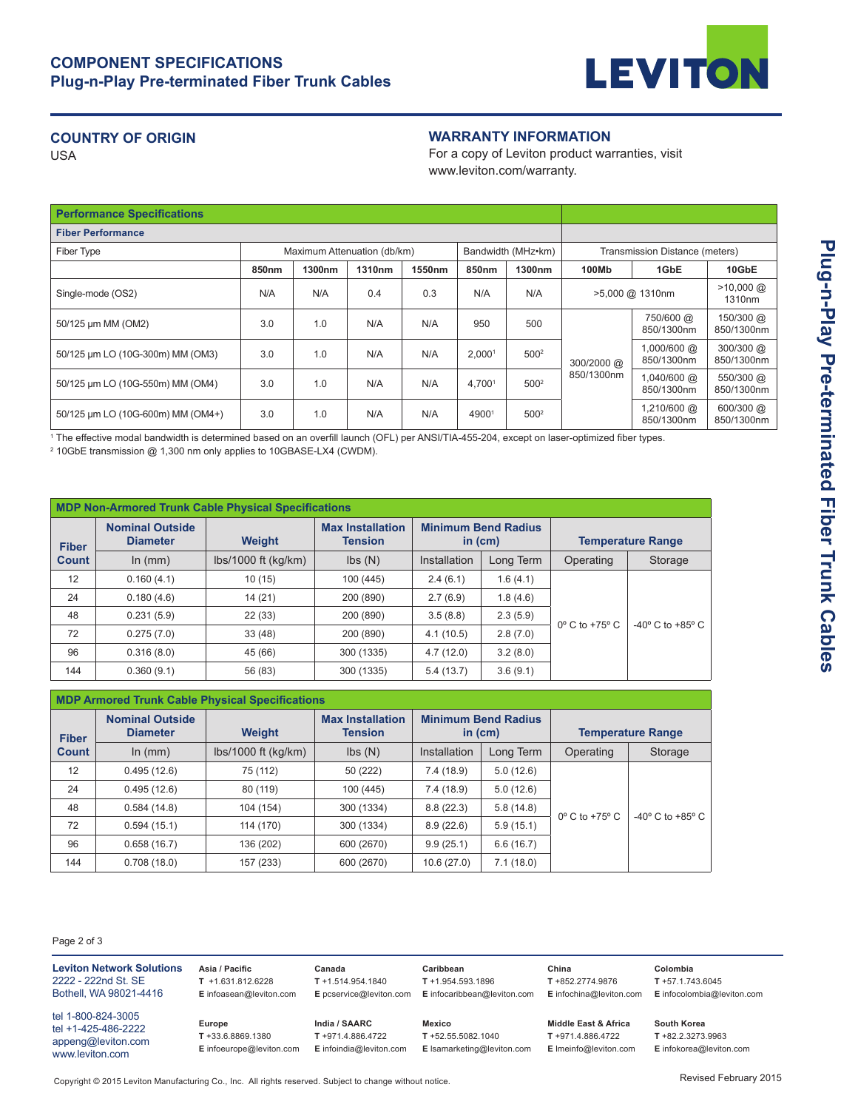

# **COUNTRY OF ORIGIN**

USA

## **WARRANTY INFORMATION**

For a copy of Leviton product warranties, visit www.leviton.com/warranty.

| <b>Performance Specifications</b> |                                                   |        |        |                                |                    |                  |                          |                           |                         |
|-----------------------------------|---------------------------------------------------|--------|--------|--------------------------------|--------------------|------------------|--------------------------|---------------------------|-------------------------|
| <b>Fiber Performance</b>          |                                                   |        |        |                                |                    |                  |                          |                           |                         |
| Fiber Type                        | Bandwidth (MHz•km)<br>Maximum Attenuation (db/km) |        |        | Transmission Distance (meters) |                    |                  |                          |                           |                         |
|                                   | 850 <sub>nm</sub>                                 | 1300nm | 1310nm | 1550nm                         | 850nm              | 1300nm           | 100Mb                    | 1GbE                      | 10GbE                   |
| Single-mode (OS2)                 | N/A                                               | N/A    | 0.4    | 0.3                            | N/A                | N/A              | >5,000 @ 1310nm          |                           | $>10,000$ @<br>1310nm   |
| 50/125 µm MM (OM2)                | 3.0                                               | 1.0    | N/A    | N/A                            | 950                | 500              | 300/2000 @<br>850/1300nm | 750/600 @<br>850/1300nm   | 150/300 @<br>850/1300nm |
| 50/125 µm LO (10G-300m) MM (OM3)  | 3.0                                               | 1.0    | N/A    | N/A                            | 2.000 <sup>1</sup> | 500 <sup>2</sup> |                          | 1,000/600 @<br>850/1300nm | 300/300 @<br>850/1300nm |
| 50/125 µm LO (10G-550m) MM (OM4)  | 3.0                                               | 1.0    | N/A    | N/A                            | 4.7001             | 500 <sup>2</sup> |                          | 1,040/600 @<br>850/1300nm | 550/300 @<br>850/1300nm |
| 50/125 µm LO (10G-600m) MM (OM4+) | 3.0                                               | 1.0    | N/A    | N/A                            | 49001              | 500 <sup>2</sup> |                          | 1,210/600 @<br>850/1300nm | 600/300 @<br>850/1300nm |

1 The effective modal bandwidth is determined based on an overfill launch (OFL) per ANSI/TIA-455-204, except on laser-optimized fiber types.

<sup>2</sup> 10GbE transmission @ 1,300 nm only applies to 10GBASE-LX4 (CWDM).

| <b>MDP Non-Armored Trunk Cable Physical Specifications</b> |                                           |                       |                                           |                                         |           |                               |                                    |  |
|------------------------------------------------------------|-------------------------------------------|-----------------------|-------------------------------------------|-----------------------------------------|-----------|-------------------------------|------------------------------------|--|
| <b>Fiber</b>                                               | <b>Nominal Outside</b><br><b>Diameter</b> | <b>Weight</b>         | <b>Max Installation</b><br><b>Tension</b> | <b>Minimum Bend Radius</b><br>in $(cm)$ |           | <b>Temperature Range</b>      |                                    |  |
| <b>Count</b>                                               | In $(mm)$                                 | $lbs/1000$ ft (kg/km) | $\mathsf{lbs}(\mathsf{N})$                | Installation                            | Long Term | Operating                     | Storage                            |  |
| 12                                                         | 0.160(4.1)                                | 10(15)                | 100 (445)                                 | 2.4(6.1)                                | 1.6(4.1)  | $0^\circ$ C to +75 $^\circ$ C | $-40^{\circ}$ C to $+85^{\circ}$ C |  |
| 24                                                         | 0.180(4.6)                                | 14(21)                | 200 (890)                                 | 2.7(6.9)                                | 1.8(4.6)  |                               |                                    |  |
| 48                                                         | 0.231(5.9)                                | 22(33)                | 200 (890)                                 | 3.5(8.8)                                | 2.3(5.9)  |                               |                                    |  |
| 72                                                         | 0.275(7.0)                                | 33(48)                | 200 (890)                                 | 4.1(10.5)                               | 2.8(7.0)  |                               |                                    |  |
| 96                                                         | 0.316(8.0)                                | 45 (66)               | 300 (1335)                                | 4.7(12.0)                               | 3.2(8.0)  |                               |                                    |  |
| 144                                                        | 0.360(9.1)                                | 56 (83)               | 300 (1335)                                | 5.4(13.7)                               | 3.6(9.1)  |                               |                                    |  |

| <b>MDP Armored Trunk Cable Physical Specifications</b> |                                           |                       |                                           |                                         |           |                               |                                    |  |  |
|--------------------------------------------------------|-------------------------------------------|-----------------------|-------------------------------------------|-----------------------------------------|-----------|-------------------------------|------------------------------------|--|--|
| <b>Fiber</b>                                           | <b>Nominal Outside</b><br><b>Diameter</b> | <b>Weight</b>         | <b>Max Installation</b><br><b>Tension</b> | <b>Minimum Bend Radius</b><br>in $(cm)$ |           | <b>Temperature Range</b>      |                                    |  |  |
| <b>Count</b>                                           | ln (mm)                                   | $lbs/1000$ ft (kg/km) | $\mathsf{lbs}(\mathsf{N})$                | Installation                            | Long Term | Operating                     | Storage                            |  |  |
| 12                                                     | 0.495(12.6)                               | 75 (112)              | 50 (222)                                  | 7.4(18.9)                               | 5.0(12.6) |                               |                                    |  |  |
| 24                                                     | 0.495(12.6)                               | 80 (119)              | 100 (445)                                 | 7.4(18.9)                               | 5.0(12.6) | $0^\circ$ C to +75 $^\circ$ C | $-40^{\circ}$ C to $+85^{\circ}$ C |  |  |
| 48                                                     | 0.584(14.8)                               | 104 (154)             | 300 (1334)                                | 8.8(22.3)                               | 5.8(14.8) |                               |                                    |  |  |
| 72                                                     | 0.594(15.1)                               | 114 (170)             | 300 (1334)                                | 8.9(22.6)                               | 5.9(15.1) |                               |                                    |  |  |
| 96                                                     | 0.658(16.7)                               | 136 (202)             | 600 (2670)                                | 9.9(25.1)                               | 6.6(16.7) |                               |                                    |  |  |
| 144                                                    | 0.708(18.0)                               | 157 (233)             | 600 (2670)                                | 10.6(27.0)                              | 7.1(18.0) |                               |                                    |  |  |

Page 2 of 3

| <b>Leviton Network Solutions</b>                                                   | Asia / Pacific                                             | Canada                                                        | Caribbean                                                            | China                                                                 | Colombia                                                       |
|------------------------------------------------------------------------------------|------------------------------------------------------------|---------------------------------------------------------------|----------------------------------------------------------------------|-----------------------------------------------------------------------|----------------------------------------------------------------|
| 2222 - 222nd St. SE                                                                | $T + 1.631.812.6228$                                       | $T + 1.514.954.1840$                                          | $T + 1.954.593.1896$                                                 | T +852.2774.9876                                                      | $T + 57.1.743.6045$                                            |
| Bothell, WA 98021-4416                                                             | E infoasean@leviton.com                                    | E pcservice@leviton.com                                       | E infocaribbean@leviton.com                                          | E infochina@leviton.com                                               | E infocolombia@leviton.com                                     |
| tel 1-800-824-3005<br>tel +1-425-486-2222<br>appeng@leviton.com<br>www.leviton.com | Europe<br>$T + 33.6.8869.1380$<br>E infoeurope@leviton.com | India / SAARC<br>T +971.4.886.4722<br>E infoindia@leviton.com | <b>Mexico</b><br>$T + 52.55.5082.1040$<br>E Isamarketing@leviton.com | Middle East & Africa<br>$T + 971.4.886.4722$<br>E Imeinfo@leviton.com | South Korea<br>$T + 82.2.3273.9963$<br>E infokorea@leviton.com |